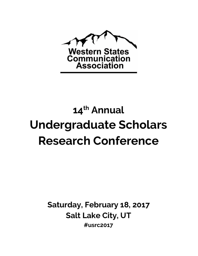

## 14<sup>th</sup> Annual Undergraduate Scholars Research Conference

Saturday, February 18, 2017 Salt Lake City, UT #usrc2017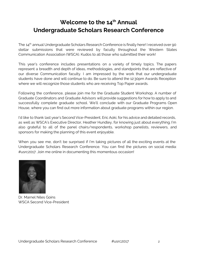## Welcome to the 14<sup>th</sup> Annual Undergraduate Scholars Research Conference

The 14<sup>th</sup> annual Undergraduate Scholars Research Conference is finally here! I received over 90 stellar submissions that were reviewed by faculty throughout the Western States Communication Association (WSCA). Kudos to all those who submitted their work!

This year's conference includes presentations on a variety of timely topics. The papers represent a breadth and depth of ideas, methodologies, and standpoints that are reflective of our diverse Communication faculty. I am impressed by the work that our undergraduate students have done and will continue to do. Be sure to attend the 12:30pm Awards Reception where we will recognize those students who are receiving Top Paper awards.

Following the conference, please join me for the Graduate Student Workshop. A number of Graduate Coordinators and Graduate Advisors will provide suggestions for how to apply to and successfully complete graduate school. We'll conclude with our Graduate Programs Open House, where you can find out more information about graduate programs within our region.

I'd like to thank last year's Second Vice-President, Eric Aoki, for his advice and detailed records, as well as WSCA's Executive Director, Heather Hundley, for knowing just about everything. I'm also grateful to all of the panel chairs/respondents, workshop panelists, reviewers, and sponsors for making the planning of this event enjoyable.

When you see me, don't be surprised if I'm taking pictures of all the exciting events at the Undergraduate Scholars Research Conference. You can find the pictures on social media: #usrc2017. Join me online in documenting this momentous occasion!



Dr. Marnel Niles Goins WSCA Second Vice-President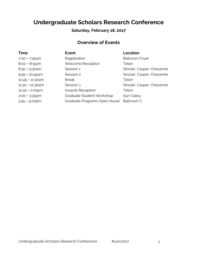## Undergraduate Scholars Research Conference

### Saturday, February 18, 2017

## Overview of Events

| <b>Time</b>        | <b>Event</b>                 | <b>Location</b>            |
|--------------------|------------------------------|----------------------------|
| $7:00 - 7:45$ am   | Registration                 | <b>Ballroom Foyer</b>      |
| $8:00 - 8:15am$    | Welcome Reception            | Teton                      |
| $8:30 - 9:30$ am   | Session 1                    | Sinclair, Casper, Cheyenne |
| $9.45 - 10.45$ am  | Session 2                    | Sinclair, Casper, Cheyenne |
| $10:45 - 11:30$ am | <b>Break</b>                 | Teton                      |
| $11:30 - 12:30$ pm | Session 3                    | Sinclair, Casper, Cheyenne |
| $12:30 - 1:00$ pm  | <b>Awards Reception</b>      | Teton                      |
| $2:00 - 3:30$ pm   | Graduate Student Workshop    | Sun Valley                 |
| $3:45 - 5:00$ pm   | Graduate Programs Open House | Ballroom C                 |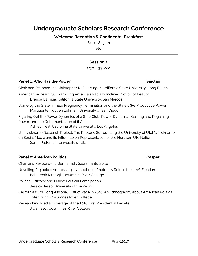## Undergraduate Scholars Research Conference

Welcome Reception & Continental Breakfast

8:00 - 8:15am Teton

#### Session 1

8:30 – 9:30am

#### Panel 1: Who Has the Power? Sinclair Shows and the Power?

Chair and Respondent: Christopher M. Duerringer, California State University, Long Beach

America the Beautiful: Examining America's Racially Inclined Notion of Beauty Brenda Barniga, California State University, San Marcos

Borne by the State: Inmate Pregnancy Termination and the State's (Re)Productive Power Marguerite Nguyen Lehman, University of San Diego

Figuring Out the Power Dynamics of a Strip Club: Power Dynamics, Gaining and Regaining Power, and the Dehumanization of it All

Ashley Neal, California State University, Los Angeles

Ute Nickname Research Project: The Rhetoric Surrounding the University of Utah's Nickname on Social Media and its Influence on Representation of the Northern Ute Nation Sarah Patterson, University of Utah

#### Panel 2: American Politics **Casper** Casper

Chair and Respondent: Gerri Smith, Sacramento State

Unveiling Prejudice: Addressing Islamophobic Rhetoric's Role in the 2016 Election Kaleemah Muttaqi, Cosumnes River College

Political Efficacy and Online Political Participation Jessica Jasso, University of the Pacific

California's 7th Congressional District Race in 2016: An Ethnography about American Politics Tyler Gunn, Cosumnes River College

Researching Media Coverage of the 2016 First Presidential Debate Jillian Self, Cosumnes River College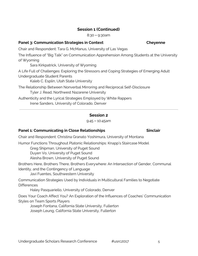#### Session 1 (Continued)

8:30 – 9:30am

#### Panel 3: Communication Strategies in Context Cheyenne

Chair and Respondent: Tara G. McManus, University of Las Vegas

The Influence of "Big Talk" on Communication Apprehension Among Students at the University of Wyoming

Sara Kirkpatrick, University of Wyoming

A Life Full of Challenges: Exploring the Stressors and Coping Strategies of Emerging Adult Undergraduate Student Parents

Kaleb C. Esplin, Utah State University

The Relationship Between Nonverbal Mirroring and Reciprocal Self-Disclosure Tyler J. Read, Northwest Nazarene University

Authenticity and the Lyrical Strategies Employed by White Rappers Irene Sanders, University of Colorado, Denver

#### Session 2

9:45 – 10:45am

#### Panel 1: Communicating in Close Relationships The Sinclair

Chair and Respondent: Christina Granato Yoshimura, University of Montana

Humor Functions Throughout Platonic Relationships: Knapp's Staircase Model

Greg Shipman, University of Puget Sound

Duyen Vo, University of Puget Sound

Alesha Brown, University of Puget Sound

Brothers Here, Brothers There, Brothers Everywhere: An Intersection of Gender, Communal Identity, and the Contingency of Language

Javi Fuentes, Southwestern University

Communication Strategies Used by Individuals in Multicultural Families to Negotiate **Differences** 

Haley Pasquariello, University of Colorado, Denver

Does Your Coach Affect You? An Exploration of the Influences of Coaches' Communication Styles on Team Sports Players

Joseph Fontana, California State University, Fullerton Joseph Leung, California State University, Fullerton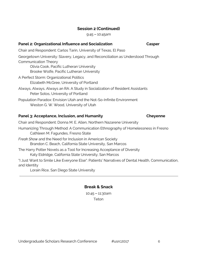#### Undergraduate Scholars Research Conference  $\mu$ usrc2017 66

#### Session 2 (Continued)

9:45 – 10:45am

#### Panel 2: Organizational Influence and Socialization Casper

Chair and Respondent: Carlos Tarin, University of Texas, El Paso

Georgetown University: Slavery, Legacy, and Reconciliation as Understood Through Communication Theory

Olivia Cook, Pacific Lutheran University Brooke Wolfe, Pacific Lutheran University

- A Perfect Storm: Organizational Politics Elizabeth McGree, University of Portland
- Always, Always, Always an RA: A Study in Socialization of Resident Assistants Peter Sotos, University of Portland

Population Paradox: Envision Utah and the Not-So-Infinite Environment Weston G. W. Wood, University of Utah

#### Panel 3: Acceptance, Inclusion, and Humanity Cheyenne

Chair and Respondent: Donna M. E. Allen, Northern Nazarene University

Humanizing Through Method: A Communication Ethnography of Homelessness in Fresno Cathleen M. Fagundes, Fresno State

Freak Show and the Need for Inclusion in American Society Brandon C. Beach, California State University, San Marcos

The Harry Potter Novels as a Tool for Increasing Acceptance of Diversity Katy Eldridge, California State University, San Marcos

"I Just Want to Smile Like Everyone Else": Patients' Narratives of Dental Health, Communication, and Identity

Lorain Rice, San Diego State University

#### Break & Snack

10:45 – 11:30am Teton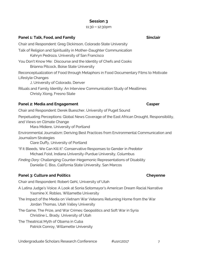#### Session 3

#### 11:30 – 12:30pm

#### Panel 1: Talk, Food, and Family Sinclair Sinclair

Chair and Respondent: Greg Dickinson, Colorado State University

Talk of Religion and Spirituality in Mother-Daughter Communication Kahryn Pedroza, University of San Francisco

You Don't Know Me: Discourse and the Identity of Chefs and Cooks Brianna Pitcock, Boise State University

Reconceptualization of Food through Metaphors in Food Documentary Films to Motivate Lifestyle Changes

J, University of Colorado, Denver

Rituals and Family Identity: An Interview Communication Study of Mealtimes Christy Xiong, Fresno State

#### Panel 2: Media and Engagement Casper

Chair and Respondent: Derek Buescher, University of Puget Sound

Perpetuating Perceptions: Global News Coverage of the East African Drought, Responsibility, and Views on Climate Change

Mara Midiere, University of Portland

Environmental Journalism: Deriving Best Practices from Environmental Communication and Journalism Strategies

Clare Duffy, University of Portland

"If It Bleeds, We Can Kill It": Conservative Responses to Gender in Predator Michael Foist, Indiana University-Purdue University, Columbus

Finding Dory: Challenging Counter-Hegemonic Representations of Disability Danielle C. Biss, California State University, San Marcos

#### Panel 3: Culture and Politics Cheyenne

Chair and Respondent: Robert Gehl, University of Utah

- A Latina Judge's Voice: A Look at Sonia Sotomayor's American Dream Racial Narrative Yasmine X. Robles, Willamette University
- The Impact of the Media on Vietnam War Veterans Returning Home from the War Jordan Thomas, Utah Valley University
- The Game, The Prize, and War Crimes: Geopolitics and Soft War in Syria Christine L. Brady, University of Utah
- The Theatrical Myth of Obama in Cuba Patrick Conroy, Willamette University

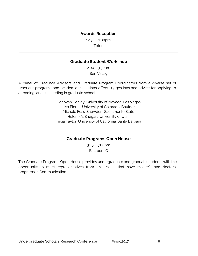#### Awards Reception

12:30 – 1:00pm

Teton

#### Graduate Student Workshop

2:00 – 3:30pm Sun Valley

A panel of Graduate Advisors and Graduate Program Coordinators from a diverse set of graduate programs and academic institutions offers suggestions and advice for applying to, attending, and succeeding in graduate school.

> Donovan Conley, University of Nevada, Las Vegas Lisa Flores, University of Colorado, Boulder Michele Foss-Snowden, Sacramento State Helene A. Shugart, University of Utah Tricia Taylor, University of California, Santa Barbara

#### Graduate Programs Open House

3:45 – 5:00pm Ballroom C

The Graduate Programs Open House provides undergraduate and graduate students with the opportunity to meet representatives from universities that have master's and doctoral programs in Communication.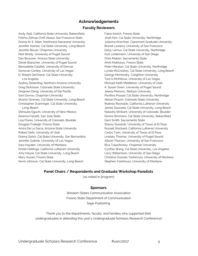#### Acknowledgements

#### Faculty Reviewers

Andy Alali, California State University, Bakersfield Fatima Zahrae Chrifi Alaoui, San Francisco State Donna M. E. Allen, Northwest Nazarene University Jennifer Asenas, Cal State University, Long Beach Jennifer Bevan, Chapman University Nick Brody, University of Puget Sound Dan Brouwer, Arizona State University Derek Buescher, University of Puget Sound Bernadette Calafell, University of Denver Donovan Conley, University of Las Vegas D. Robert DeChaine, Cal State University, Los Angeles Audrey Deterding, Northern Arizona University Greg Dickinson, Colorado State University Qingwen Dong, University of the Pacific Sam Dorros, Chapman University Sharon Downey, Cal State University, Long Beach Christopher Duerringer, Cal State University, Long Beach Shinsuke Eguchi, University of New Mexico Deanna Fassett, San Jose State Lisa Flores, University of Colorado, Boulder Douglas Fraleigh, Fresno State Amira De La Garza, Arizona State University Robert Gehl, University of Utah Donna Gotch, Cal State University, San Bernardino Jennifer Guthrie, University of Las Vegas Sara Hayden, University of Montana Kirstie Hettinga, California Lutheran University Amy Heyse, Cal State University, Long Beach Mary Husain, Fresno State Kevin Johnson, Cal State University, Long Beach

Falon Kartch, Fresno State Jinah Kim, Cal State University, Northridge Julianna Kirschner, Claremont Graduate University Brandi Lawless, University of San Francisco Daisy Lemus, Cal State University, Northridge Kurt Lindemann, University of San Diego Chris Maben, Sacramento State Amin Makkawy, Fresno State Peter Marston, Cal State University, Northridge Lynda McCroskey, Cal State University, Long Beach George McHendry, Creighton University Tara G McManus, University of Las Vegas Michael Keith Middleton, University of Utah A. Susan Owen, University of Puget Sound Jelena Petrovic, Stetson University Pavithra Prasad, Cal State University, Northridge Allison Prasch, Colorado State University Rodney Reynolds, California Lutheran University James Sauceda, Cal State University, Long Beach Natasha Shrikant, University of Colorado, Boulder Donna Simmons, Cal State University, Bakersfield Gerri Smith, Sacramento State Stacey Sowards, University of Texas at El Paso Russell Stockard, California Lutheran University Carlos Tarin, University of Texas at El Paso Lindsey Thomas, University of Puget Sound Allison Thorson, University of San Francisco Riva Tukachinsky, Chapman University Cynthia Wang, Cal State University, Los Angeles Larry Williamson, University of San Diego Christina Granato Yoshimura, University of Montana Stephen Yoshimura, University of Montana

#### Panel Chairs / Respondents and Graduate Workshop Panelists

(as noted in program)

#### Sponsors

Western States Communication Association Fresno State Department of Communication Sage Publishing

Thank you to the departments, faculty, and families who supported their undergraduates in attending this year's Undergraduate Scholars Research Conference!